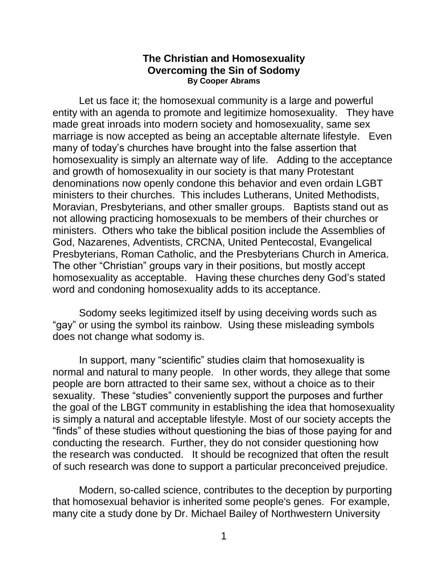#### **The Christian and Homosexuality Overcoming the Sin of Sodomy By Cooper Abrams**

Let us face it; the homosexual community is a large and powerful entity with an agenda to promote and legitimize homosexuality. They have made great inroads into modern society and homosexuality, same sex marriage is now accepted as being an acceptable alternate lifestyle. Even many of today's churches have brought into the false assertion that homosexuality is simply an alternate way of life. Adding to the acceptance and growth of homosexuality in our society is that many Protestant denominations now openly condone this behavior and even ordain LGBT ministers to their churches. This includes Lutherans, United Methodists, Moravian, Presbyterians, and other smaller groups. Baptists stand out as not allowing practicing homosexuals to be members of their churches or ministers. Others who take the biblical position include the Assemblies of God, Nazarenes, Adventists, CRCNA, United Pentecostal, Evangelical Presbyterians, Roman Catholic, and the Presbyterians Church in America. The other "Christian" groups vary in their positions, but mostly accept homosexuality as acceptable. Having these churches deny God's stated word and condoning homosexuality adds to its acceptance.

Sodomy seeks legitimized itself by using deceiving words such as "gay" or using the symbol its rainbow. Using these misleading symbols does not change what sodomy is.

In support, many "scientific" studies claim that homosexuality is normal and natural to many people. In other words, they allege that some people are born attracted to their same sex, without a choice as to their sexuality. These "studies" conveniently support the purposes and further the goal of the LBGT community in establishing the idea that homosexuality is simply a natural and acceptable lifestyle. Most of our society accepts the "finds" of these studies without questioning the bias of those paying for and conducting the research. Further, they do not consider questioning how the research was conducted. It should be recognized that often the result of such research was done to support a particular preconceived prejudice.

Modern, so-called science, contributes to the deception by purporting that homosexual behavior is inherited some people's genes. For example, many cite a study done by Dr. Michael Bailey of Northwestern University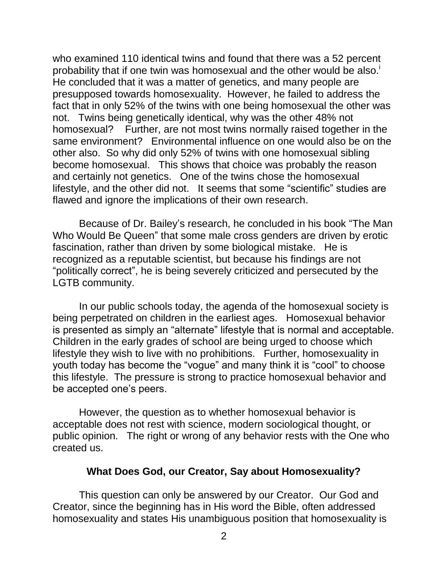who examined 110 identical twins and found that there was a 52 percent probability that if one twin was homosexual and the other would be also.<sup>i</sup> He concluded that it was a matter of genetics, and many people are presupposed towards homosexuality. However, he failed to address the fact that in only 52% of the twins with one being homosexual the other was not. Twins being genetically identical, why was the other 48% not homosexual? Further, are not most twins normally raised together in the same environment? Environmental influence on one would also be on the other also. So why did only 52% of twins with one homosexual sibling become homosexual. This shows that choice was probably the reason and certainly not genetics. One of the twins chose the homosexual lifestyle, and the other did not. It seems that some "scientific" studies are flawed and ignore the implications of their own research.

Because of Dr. Bailey's research, he concluded in his book "The Man Who Would Be Queen" that some male cross genders are driven by erotic fascination, rather than driven by some biological mistake. He is recognized as a reputable scientist, but because his findings are not "politically correct", he is being severely criticized and persecuted by the LGTB community.

In our public schools today, the agenda of the homosexual society is being perpetrated on children in the earliest ages. Homosexual behavior is presented as simply an "alternate" lifestyle that is normal and acceptable. Children in the early grades of school are being urged to choose which lifestyle they wish to live with no prohibitions. Further, homosexuality in youth today has become the "vogue" and many think it is "cool" to choose this lifestyle. The pressure is strong to practice homosexual behavior and be accepted one's peers.

However, the question as to whether homosexual behavior is acceptable does not rest with science, modern sociological thought, or public opinion. The right or wrong of any behavior rests with the One who created us.

#### **What Does God, our Creator, Say about Homosexuality?**

This question can only be answered by our Creator. Our God and Creator, since the beginning has in His word the Bible, often addressed homosexuality and states His unambiguous position that homosexuality is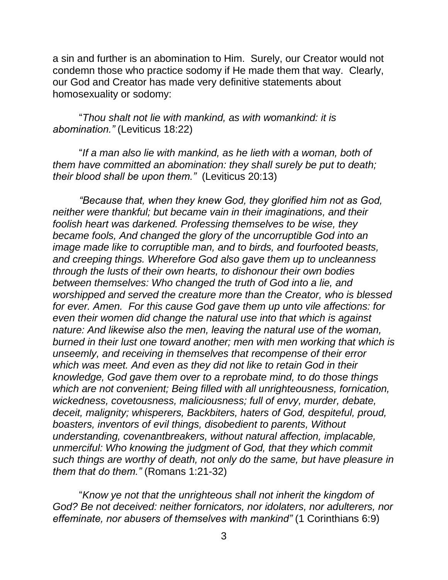a sin and further is an abomination to Him. Surely, our Creator would not condemn those who practice sodomy if He made them that way. Clearly, our God and Creator has made very definitive statements about homosexuality or sodomy:

"*Thou shalt not lie with mankind, as with womankind: it is abomination."* (Leviticus 18:22)

"*If a man also lie with mankind, as he lieth with a woman, both of them have committed an abomination: they shall surely be put to death; their blood shall be upon them."* (Leviticus 20:13)

*"Because that, when they knew God, they glorified him not as God, neither were thankful; but became vain in their imaginations, and their foolish heart was darkened. Professing themselves to be wise, they became fools, And changed the glory of the uncorruptible God into an image made like to corruptible man, and to birds, and fourfooted beasts, and creeping things. Wherefore God also gave them up to uncleanness through the lusts of their own hearts, to dishonour their own bodies between themselves: Who changed the truth of God into a lie, and worshipped and served the creature more than the Creator, who is blessed for ever. Amen. For this cause God gave them up unto vile affections: for even their women did change the natural use into that which is against nature: And likewise also the men, leaving the natural use of the woman, burned in their lust one toward another; men with men working that which is unseemly, and receiving in themselves that recompense of their error which was meet. And even as they did not like to retain God in their knowledge, God gave them over to a reprobate mind, to do those things which are not convenient; Being filled with all unrighteousness, fornication, wickedness, covetousness, maliciousness; full of envy, murder, debate, deceit, malignity; whisperers, Backbiters, haters of God, despiteful, proud, boasters, inventors of evil things, disobedient to parents, Without understanding, covenantbreakers, without natural affection, implacable, unmerciful: Who knowing the judgment of God, that they which commit such things are worthy of death, not only do the same, but have pleasure in them that do them."* (Romans 1:21-32)

"*Know ye not that the unrighteous shall not inherit the kingdom of God? Be not deceived: neither fornicators, nor idolaters, nor adulterers, nor effeminate, nor abusers of themselves with mankind"* (1 Corinthians 6:9)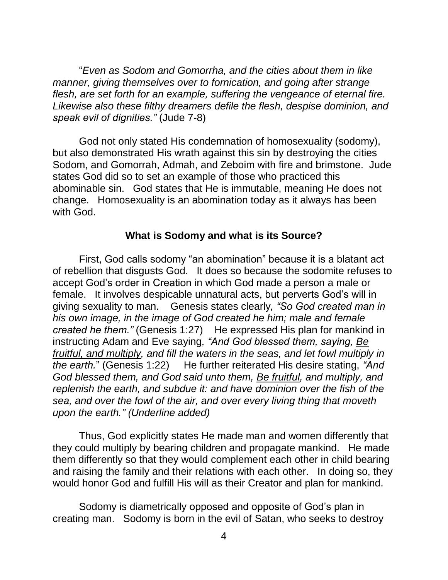"*Even as Sodom and Gomorrha, and the cities about them in like manner, giving themselves over to fornication, and going after strange flesh, are set forth for an example, suffering the vengeance of eternal fire. Likewise also these filthy dreamers defile the flesh, despise dominion, and speak evil of dignities."* (Jude 7-8)

God not only stated His condemnation of homosexuality (sodomy), but also demonstrated His wrath against this sin by destroying the cities Sodom, and Gomorrah, Admah, and Zeboim with fire and brimstone. Jude states God did so to set an example of those who practiced this abominable sin. God states that He is immutable, meaning He does not change. Homosexuality is an abomination today as it always has been with God.

## **What is Sodomy and what is its Source?**

First, God calls sodomy "an abomination" because it is a blatant act of rebellion that disgusts God. It does so because the sodomite refuses to accept God's order in Creation in which God made a person a male or female. It involves despicable unnatural acts, but perverts God's will in giving sexuality to man. Genesis states clearly*, "So God created man in his own image, in the image of God created he him; male and female created he them.*" (Genesis 1:27) He expressed His plan for mankind in instructing Adam and Eve saying*, "And God blessed them, saying, Be fruitful, and multiply, and fill the waters in the seas, and let fowl multiply in the earth.*" (Genesis 1:22) He further reiterated His desire stating, "And *God blessed them, and God said unto them, Be fruitful, and multiply, and replenish the earth, and subdue it: and have dominion over the fish of the sea, and over the fowl of the air, and over every living thing that moveth upon the earth." (Underline added)*

Thus, God explicitly states He made man and women differently that they could multiply by bearing children and propagate mankind. He made them differently so that they would complement each other in child bearing and raising the family and their relations with each other. In doing so, they would honor God and fulfill His will as their Creator and plan for mankind.

Sodomy is diametrically opposed and opposite of God's plan in creating man. Sodomy is born in the evil of Satan, who seeks to destroy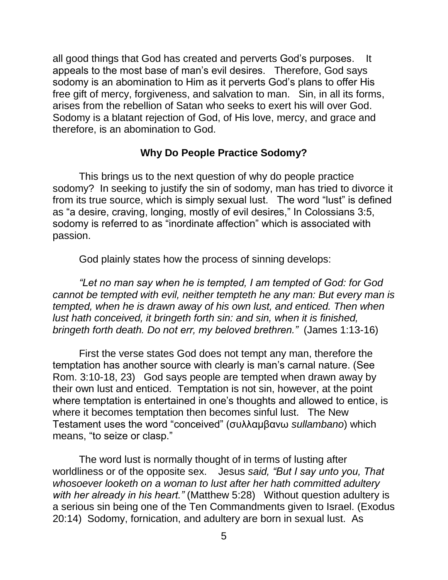all good things that God has created and perverts God's purposes. It appeals to the most base of man's evil desires. Therefore, God says sodomy is an abomination to Him as it perverts God's plans to offer His free gift of mercy, forgiveness, and salvation to man. Sin, in all its forms, arises from the rebellion of Satan who seeks to exert his will over God. Sodomy is a blatant rejection of God, of His love, mercy, and grace and therefore, is an abomination to God.

## **Why Do People Practice Sodomy?**

This brings us to the next question of why do people practice sodomy? In seeking to justify the sin of sodomy, man has tried to divorce it from its true source, which is simply sexual lust. The word "lust" is defined as "a desire, craving, longing, mostly of evil desires," In Colossians 3:5, sodomy is referred to as "inordinate affection" which is associated with passion.

God plainly states how the process of sinning develops:

*"Let no man say when he is tempted, I am tempted of God: for God cannot be tempted with evil, neither tempteth he any man: But every man is tempted, when he is drawn away of his own lust, and enticed. Then when lust hath conceived, it bringeth forth sin: and sin, when it is finished, bringeth forth death. Do not err, my beloved brethren."* (James 1:13-16)

First the verse states God does not tempt any man, therefore the temptation has another source with clearly is man's carnal nature. (See Rom. 3:10-18, 23) God says people are tempted when drawn away by their own lust and enticed. Temptation is not sin, however, at the point where temptation is entertained in one's thoughts and allowed to entice, is where it becomes temptation then becomes sinful lust. The New Testament uses the word "conceived" (συλλαμβανω *sullambano*) which means, "to seize or clasp."

The word lust is normally thought of in terms of lusting after worldliness or of the opposite sex. Jesus *said, "But I say unto you, That whosoever looketh on a woman to lust after her hath committed adultery with her already in his heart."* (Matthew 5:28) Without question adultery is a serious sin being one of the Ten Commandments given to Israel. (Exodus 20:14) Sodomy, fornication, and adultery are born in sexual lust. As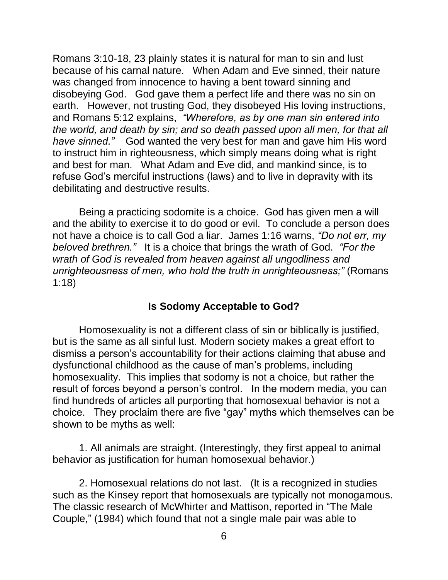Romans 3:10-18, 23 plainly states it is natural for man to sin and lust because of his carnal nature. When Adam and Eve sinned, their nature was changed from innocence to having a bent toward sinning and disobeying God. God gave them a perfect life and there was no sin on earth. However, not trusting God, they disobeyed His loving instructions, and Romans 5:12 explains, *"Wherefore, as by one man sin entered into the world, and death by sin; and so death passed upon all men, for that all have sinned."* God wanted the very best for man and gave him His word to instruct him in righteousness, which simply means doing what is right and best for man. What Adam and Eve did, and mankind since, is to refuse God's merciful instructions (laws) and to live in depravity with its debilitating and destructive results.

Being a practicing sodomite is a choice. God has given men a will and the ability to exercise it to do good or evil. To conclude a person does not have a choice is to call God a liar. James 1:16 warns, *"Do not err, my beloved brethren."* It is a choice that brings the wrath of God. *"For the wrath of God is revealed from heaven against all ungodliness and unrighteousness of men, who hold the truth in unrighteousness;"* (Romans 1:18)

# **Is Sodomy Acceptable to God?**

Homosexuality is not a different class of sin or biblically is justified, but is the same as all sinful lust. Modern society makes a great effort to dismiss a person's accountability for their actions claiming that abuse and dysfunctional childhood as the cause of man's problems, including homosexuality. This implies that sodomy is not a choice, but rather the result of forces beyond a person's control. In the modern media, you can find hundreds of articles all purporting that homosexual behavior is not a choice. They proclaim there are five "gay" myths which themselves can be shown to be myths as well:

1. All animals are straight. (Interestingly, they first appeal to animal behavior as justification for human homosexual behavior.)

2. Homosexual relations do not last. (It is a recognized in studies such as the Kinsey report that homosexuals are typically not monogamous. The classic research of McWhirter and Mattison, reported in "The Male Couple," (1984) which found that not a single male pair was able to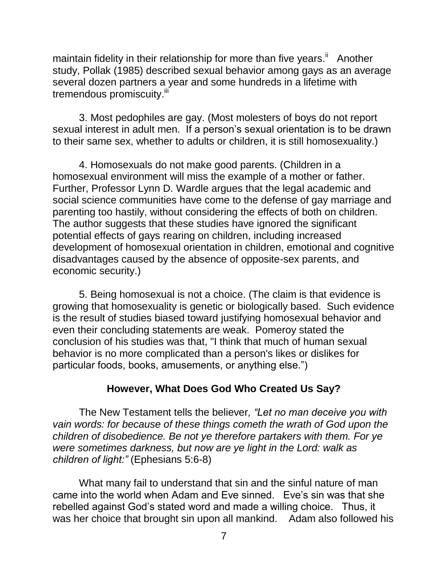maintain fidelity in their relationship for more than five years.<sup>ii</sup> Another study, Pollak (1985) described sexual behavior among gays as an average several dozen partners a year and some hundreds in a lifetime with tremendous promiscuity.<sup>iii</sup>

3. Most pedophiles are gay. (Most molesters of boys do not report sexual interest in adult men. If a person's sexual orientation is to be drawn to their same sex, whether to adults or children, it is still homosexuality.)

4. Homosexuals do not make good parents. (Children in a homosexual environment will miss the example of a mother or father. Further, Professor Lynn D. Wardle argues that the legal academic and social science communities have come to the defense of gay marriage and parenting too hastily, without considering the effects of both on children. The author suggests that these studies have ignored the significant potential effects of gays rearing on children, including increased development of homosexual orientation in children, emotional and cognitive disadvantages caused by the absence of opposite-sex parents, and economic security.)

5. Being homosexual is not a choice. (The claim is that evidence is growing that homosexuality is genetic or biologically based. Such evidence is the result of studies biased toward justifying homosexual behavior and even their concluding statements are weak. Pomeroy stated the conclusion of his studies was that, "I think that much of human sexual behavior is no more complicated than a person's likes or dislikes for particular foods, books, amusements, or anything else.")

## **However, What Does God Who Created Us Say?**

The New Testament tells the believer*, "Let no man deceive you with vain words: for because of these things cometh the wrath of God upon the children of disobedience. Be not ye therefore partakers with them. For ye were sometimes darkness, but now are ye light in the Lord: walk as children of light:"* (Ephesians 5:6-8)

What many fail to understand that sin and the sinful nature of man came into the world when Adam and Eve sinned. Eve's sin was that she rebelled against God's stated word and made a willing choice. Thus, it was her choice that brought sin upon all mankind. Adam also followed his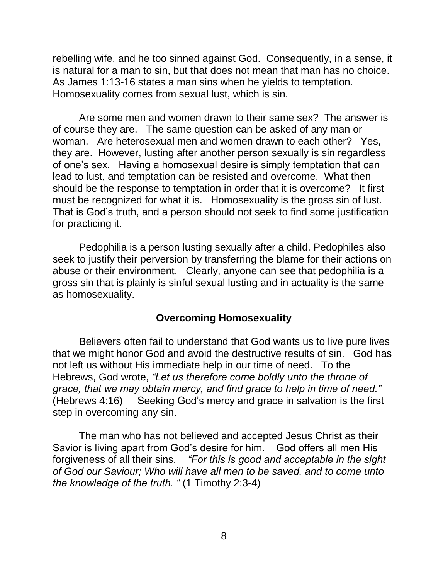rebelling wife, and he too sinned against God. Consequently, in a sense, it is natural for a man to sin, but that does not mean that man has no choice. As James 1:13-16 states a man sins when he yields to temptation. Homosexuality comes from sexual lust, which is sin.

Are some men and women drawn to their same sex? The answer is of course they are. The same question can be asked of any man or woman. Are heterosexual men and women drawn to each other? Yes, they are. However, lusting after another person sexually is sin regardless of one's sex. Having a homosexual desire is simply temptation that can lead to lust, and temptation can be resisted and overcome. What then should be the response to temptation in order that it is overcome? It first must be recognized for what it is. Homosexuality is the gross sin of lust. That is God's truth, and a person should not seek to find some justification for practicing it.

Pedophilia is a person lusting sexually after a child. Pedophiles also seek to justify their perversion by transferring the blame for their actions on abuse or their environment. Clearly, anyone can see that pedophilia is a gross sin that is plainly is sinful sexual lusting and in actuality is the same as homosexuality.

## **Overcoming Homosexuality**

Believers often fail to understand that God wants us to live pure lives that we might honor God and avoid the destructive results of sin. God has not left us without His immediate help in our time of need. To the Hebrews, God wrote, *"Let us therefore come boldly unto the throne of grace, that we may obtain mercy, and find grace to help in time of need."* (Hebrews 4:16) Seeking God's mercy and grace in salvation is the first step in overcoming any sin.

The man who has not believed and accepted Jesus Christ as their Savior is living apart from God's desire for him. God offers all men His forgiveness of all their sins. *"For this is good and acceptable in the sight of God our Saviour; Who will have all men to be saved, and to come unto the knowledge of the truth. "* (1 Timothy 2:3-4)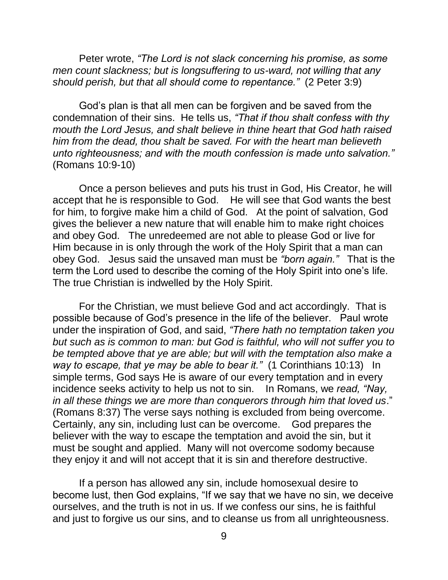Peter wrote, *"The Lord is not slack concerning his promise, as some men count slackness; but is longsuffering to us-ward, not willing that any should perish, but that all should come to repentance."* (2 Peter 3:9)

God's plan is that all men can be forgiven and be saved from the condemnation of their sins. He tells us, *"That if thou shalt confess with thy mouth the Lord Jesus, and shalt believe in thine heart that God hath raised him from the dead, thou shalt be saved. For with the heart man believeth unto righteousness; and with the mouth confession is made unto salvation."* (Romans 10:9-10)

Once a person believes and puts his trust in God, His Creator, he will accept that he is responsible to God. He will see that God wants the best for him, to forgive make him a child of God. At the point of salvation, God gives the believer a new nature that will enable him to make right choices and obey God. The unredeemed are not able to please God or live for Him because in is only through the work of the Holy Spirit that a man can obey God. Jesus said the unsaved man must be *"born again."* That is the term the Lord used to describe the coming of the Holy Spirit into one's life. The true Christian is indwelled by the Holy Spirit.

For the Christian, we must believe God and act accordingly. That is possible because of God's presence in the life of the believer. Paul wrote under the inspiration of God, and said, *"There hath no temptation taken you but such as is common to man: but God is faithful, who will not suffer you to be tempted above that ye are able; but will with the temptation also make a way to escape, that ye may be able to bear it."* (1 Corinthians 10:13) In simple terms, God says He is aware of our every temptation and in every incidence seeks activity to help us not to sin. In Romans, we *read, "Nay, in all these things we are more than conquerors through him that loved us*." (Romans 8:37) The verse says nothing is excluded from being overcome. Certainly, any sin, including lust can be overcome. God prepares the believer with the way to escape the temptation and avoid the sin, but it must be sought and applied. Many will not overcome sodomy because they enjoy it and will not accept that it is sin and therefore destructive.

If a person has allowed any sin, include homosexual desire to become lust, then God explains, "If we say that we have no sin, we deceive ourselves, and the truth is not in us. If we confess our sins, he is faithful and just to forgive us our sins, and to cleanse us from all unrighteousness.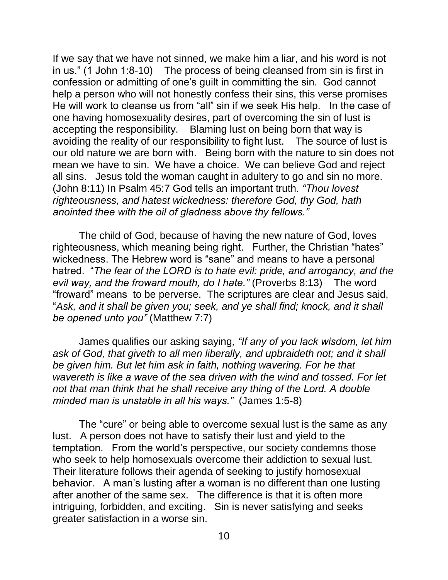If we say that we have not sinned, we make him a liar, and his word is not in us." (1 John 1:8-10) The process of being cleansed from sin is first in confession or admitting of one's guilt in committing the sin. God cannot help a person who will not honestly confess their sins, this verse promises He will work to cleanse us from "all" sin if we seek His help. In the case of one having homosexuality desires, part of overcoming the sin of lust is accepting the responsibility. Blaming lust on being born that way is avoiding the reality of our responsibility to fight lust. The source of lust is our old nature we are born with. Being born with the nature to sin does not mean we have to sin. We have a choice. We can believe God and reject all sins. Jesus told the woman caught in adultery to go and sin no more. (John 8:11) In Psalm 45:7 God tells an important truth*. "Thou lovest righteousness, and hatest wickedness: therefore God, thy God, hath anointed thee with the oil of gladness above thy fellows."*

The child of God, because of having the new nature of God, loves righteousness, which meaning being right. Further, the Christian "hates" wickedness. The Hebrew word is "sane" and means to have a personal hatred. "*The fear of the LORD is to hate evil: pride, and arrogancy, and the evil way, and the froward mouth, do I hate."* (Proverbs 8:13) The word "froward" means to be perverse. The scriptures are clear and Jesus said, "*Ask, and it shall be given you; seek, and ye shall find; knock, and it shall be opened unto you"* (Matthew 7:7)

James qualifies our asking saying*, "If any of you lack wisdom, let him ask of God, that giveth to all men liberally, and upbraideth not; and it shall be given him. But let him ask in faith, nothing wavering. For he that wavereth is like a wave of the sea driven with the wind and tossed. For let not that man think that he shall receive any thing of the Lord. A double minded man is unstable in all his ways."* (James 1:5-8)

The "cure" or being able to overcome sexual lust is the same as any lust. A person does not have to satisfy their lust and yield to the temptation. From the world's perspective, our society condemns those who seek to help homosexuals overcome their addiction to sexual lust. Their literature follows their agenda of seeking to justify homosexual behavior. A man's lusting after a woman is no different than one lusting after another of the same sex. The difference is that it is often more intriguing, forbidden, and exciting. Sin is never satisfying and seeks greater satisfaction in a worse sin.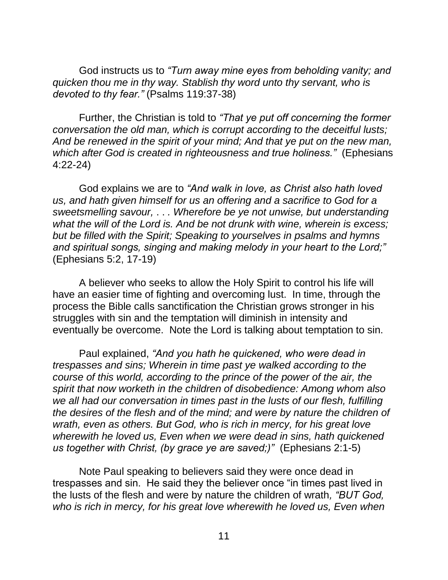God instructs us to *"Turn away mine eyes from beholding vanity; and quicken thou me in thy way. Stablish thy word unto thy servant, who is devoted to thy fear."* (Psalms 119:37-38)

Further, the Christian is told to *"That ye put off concerning the former conversation the old man, which is corrupt according to the deceitful lusts; And be renewed in the spirit of your mind; And that ye put on the new man, which after God is created in righteousness and true holiness."* (Ephesians 4:22-24)

God explains we are to *"And walk in love, as Christ also hath loved us, and hath given himself for us an offering and a sacrifice to God for a sweetsmelling savour,* . . *. Wherefore be ye not unwise, but understanding what the will of the Lord is. And be not drunk with wine, wherein is excess; but be filled with the Spirit; Speaking to yourselves in psalms and hymns and spiritual songs, singing and making melody in your heart to the Lord;"* (Ephesians 5:2, 17-19)

A believer who seeks to allow the Holy Spirit to control his life will have an easier time of fighting and overcoming lust. In time, through the process the Bible calls sanctification the Christian grows stronger in his struggles with sin and the temptation will diminish in intensity and eventually be overcome. Note the Lord is talking about temptation to sin.

Paul explained, *"And you hath he quickened, who were dead in trespasses and sins; Wherein in time past ye walked according to the course of this world, according to the prince of the power of the air, the spirit that now worketh in the children of disobedience: Among whom also we all had our conversation in times past in the lusts of our flesh, fulfilling the desires of the flesh and of the mind; and were by nature the children of wrath, even as others. But God, who is rich in mercy, for his great love wherewith he loved us, Even when we were dead in sins, hath quickened us together with Christ, (by grace ye are saved;)"* (Ephesians 2:1-5)

Note Paul speaking to believers said they were once dead in trespasses and sin. He said they the believer once "in times past lived in the lusts of the flesh and were by nature the children of wrath*, "BUT God, who is rich in mercy, for his great love wherewith he loved us, Even when*